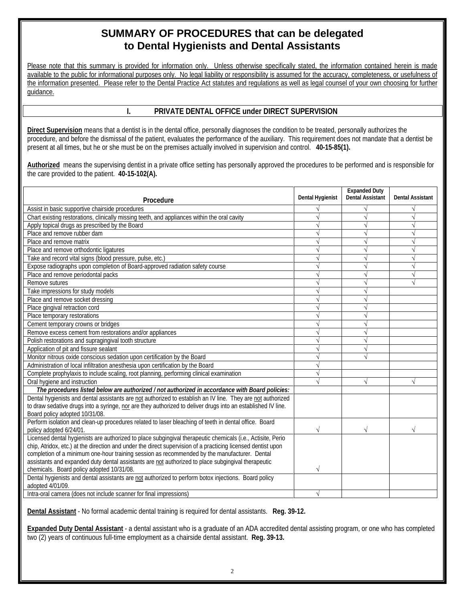# **SUMMARY OF PROCEDURES that can be delegated to Dental Hygienists and Dental Assistants**

Please note that this summary is provided for information only. Unless otherwise specifically stated, the information contained herein is made available to the public for informational purposes only. No legal liability or responsibility is assumed for the accuracy, completeness, or usefulness of the information presented. Please refer to the Dental Practice Act statutes and regulations as well as legal counsel of your own choosing for further guidance.

## **I. PRIVATE DENTAL OFFICE under DIRECT SUPERVISION**

**Direct Supervision** means that a dentist is in the dental office, personally diagnoses the condition to be treated, personally authorizes the procedure, and before the dismissal of the patient, evaluates the performance of the auxiliary. This requirement does not mandate that a dentist be present at all times, but he or she must be on the premises actually involved in supervision and control. **40-15-85(1).** 

**Authorized** means the supervising dentist in a private office setting has personally approved the procedures to be performed and is responsible for the care provided to the patient. **40-15-102(A).** 

| Procedure                                                                                                                | Dental Hygienist | <b>Expanded Duty</b><br><b>Dental Assistant</b> | <b>Dental Assistant</b> |
|--------------------------------------------------------------------------------------------------------------------------|------------------|-------------------------------------------------|-------------------------|
| Assist in basic supportive chairside procedures                                                                          |                  |                                                 |                         |
| Chart existing restorations, clinically missing teeth, and appliances within the oral cavity                             |                  |                                                 |                         |
| Apply topical drugs as prescribed by the Board                                                                           |                  |                                                 |                         |
| Place and remove rubber dam                                                                                              |                  |                                                 |                         |
| Place and remove matrix                                                                                                  |                  |                                                 |                         |
| Place and remove orthodontic ligatures                                                                                   |                  |                                                 |                         |
| Take and record vital signs (blood pressure, pulse, etc.)                                                                |                  | N                                               |                         |
| Expose radiographs upon completion of Board-approved radiation safety course                                             |                  | N                                               |                         |
| Place and remove periodontal packs                                                                                       |                  | $\sqrt{ }$                                      | $\sqrt{}$               |
| Remove sutures                                                                                                           |                  | $\sqrt{}$                                       | $\sqrt{}$               |
| Take impressions for study models                                                                                        |                  |                                                 |                         |
| Place and remove socket dressing                                                                                         |                  |                                                 |                         |
| Place gingival retraction cord                                                                                           |                  |                                                 |                         |
| Place temporary restorations                                                                                             |                  |                                                 |                         |
| Cement temporary crowns or bridges                                                                                       |                  |                                                 |                         |
| Remove excess cement from restorations and/or appliances                                                                 |                  |                                                 |                         |
| Polish restorations and supragingival tooth structure                                                                    |                  |                                                 |                         |
| Application of pit and fissure sealant                                                                                   |                  |                                                 |                         |
| Monitor nitrous oxide conscious sedation upon certification by the Board                                                 |                  |                                                 |                         |
| Administration of local infiltration anesthesia upon certification by the Board                                          |                  |                                                 |                         |
| Complete prophylaxis to include scaling, root planning, performing clinical examination                                  |                  |                                                 |                         |
| Oral hygiene and instruction                                                                                             |                  |                                                 |                         |
| The procedures listed below are authorized / not authorized in accordance with Board policies:                           |                  |                                                 |                         |
| Dental hygienists and dental assistants are not authorized to establish an IV line. They are not authorized              |                  |                                                 |                         |
| to draw sedative drugs into a syringe, nor are they authorized to deliver drugs into an established IV line.             |                  |                                                 |                         |
| Board policy adopted 10/31/08.                                                                                           |                  |                                                 |                         |
| Perform isolation and clean-up procedures related to laser bleaching of teeth in dental office. Board                    |                  |                                                 |                         |
| policy adopted 6/24/01.                                                                                                  | $\sqrt{}$        | V                                               |                         |
| Licensed dental hygienists are authorized to place subgingival therapeutic chemicals (i.e., Actisite, Perio              |                  |                                                 |                         |
| chip, Atridox, etc.) at the direction and under the direct supervision of a practicing licensed dentist upon             |                  |                                                 |                         |
| completion of a minimum one-hour training session as recommended by the manufacturer. Dental                             |                  |                                                 |                         |
| assistants and expanded duty dental assistants are not authorized to place subgingival therapeutic                       |                  |                                                 |                         |
| chemicals. Board policy adopted 10/31/08.                                                                                | V                |                                                 |                         |
| Dental hygienists and dental assistants are not authorized to perform botox injections. Board policy<br>adopted 4/01/09. |                  |                                                 |                         |
| Intra-oral camera (does not include scanner for final impressions)                                                       |                  |                                                 |                         |
|                                                                                                                          |                  |                                                 |                         |

**Dental Assistant** - No formal academic dental training is required for dental assistants. **Reg. 39-12.** 

**Expanded Duty Dental Assistant** - a dental assistant who is a graduate of an ADA accredited dental assisting program, or one who has completed two (2) years of continuous full-time employment as a chairside dental assistant. **Reg. 39-13.**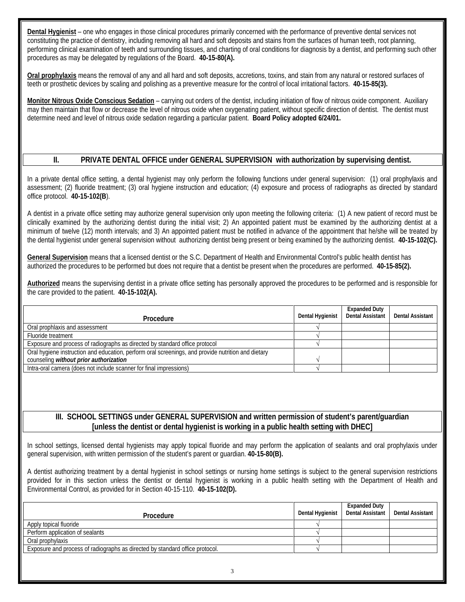**Dental Hygienist** – one who engages in those clinical procedures primarily concerned with the performance of preventive dental services not constituting the practice of dentistry, including removing all hard and soft deposits and stains from the surfaces of human teeth, root planning, performing clinical examination of teeth and surrounding tissues, and charting of oral conditions for diagnosis by a dentist, and performing such other procedures as may be delegated by regulations of the Board. **40-15-80(A).** 

**Oral prophylaxis** means the removal of any and all hard and soft deposits, accretions, toxins, and stain from any natural or restored surfaces of teeth or prosthetic devices by scaling and polishing as a preventive measure for the control of local irritational factors. **40-15-85(3).**

**Monitor Nitrous Oxide Conscious Sedation** – carrying out orders of the dentist, including initiation of flow of nitrous oxide component. Auxiliary may then maintain that flow or decrease the level of nitrous oxide when oxygenating patient, without specific direction of dentist. The dentist must determine need and level of nitrous oxide sedation regarding a particular patient. **Board Policy adopted 6/24/01.** 

#### **II. PRIVATE DENTAL OFFICE under GENERAL SUPERVISION with authorization by supervising dentist.**

In a private dental office setting, a dental hygienist may only perform the following functions under general supervision: (1) oral prophylaxis and assessment; (2) fluoride treatment; (3) oral hygiene instruction and education; (4) exposure and process of radiographs as directed by standard office protocol. **40-15-102(B**).

A dentist in a private office setting may authorize general supervision only upon meeting the following criteria: (1) A new patient of record must be clinically examined by the authorizing dentist during the initial visit; 2) An appointed patient must be examined by the authorizing dentist at a minimum of twelve (12) month intervals; and 3) An appointed patient must be notified in advance of the appointment that he/she will be treated by the dental hygienist under general supervision without authorizing dentist being present or being examined by the authorizing dentist. **40-15-102(C).** 

**General Supervision** means that a licensed dentist or the S.C. Department of Health and Environmental Control's public health dentist has authorized the procedures to be performed but does not require that a dentist be present when the procedures are performed. **40-15-85(2).** 

**Authorized** means the supervising dentist in a private office setting has personally approved the procedures to be performed and is responsible for the care provided to the patient. **40-15-102(A).** 

| <b>Procedure</b>                                                                                   | Dental Hygienist | <b>Expanded Duty</b><br><b>Dental Assistant</b> | <b>Dental Assistant</b> |
|----------------------------------------------------------------------------------------------------|------------------|-------------------------------------------------|-------------------------|
| Oral prophlaxis and assessment                                                                     |                  |                                                 |                         |
| Fluoride treatment                                                                                 |                  |                                                 |                         |
| Exposure and process of radiographs as directed by standard office protocol                        |                  |                                                 |                         |
| Oral hygiene instruction and education, perform oral screenings, and provide nutrition and dietary |                  |                                                 |                         |
| counseling without prior authorization                                                             |                  |                                                 |                         |
| Intra-oral camera (does not include scanner for final impressions)                                 |                  |                                                 |                         |

### **III. SCHOOL SETTINGS under GENERAL SUPERVISION and written permission of student's parent/guardian [unless the dentist or dental hygienist is working in a public health setting with DHEC]**

In school settings, licensed dental hygienists may apply topical fluoride and may perform the application of sealants and oral prophylaxis under general supervision, with written permission of the student's parent or guardian. **40-15-80(B).** 

A dentist authorizing treatment by a dental hygienist in school settings or nursing home settings is subject to the general supervision restrictions provided for in this section unless the dentist or dental hygienist is working in a public health setting with the Department of Health and Environmental Control, as provided for in Section 40-15-110. **40-15-102(D).** 

| Procedure                                                                    | Dental Hygienist | <b>Expanded Duty</b><br><b>Dental Assistant</b> | Dental Assistant |
|------------------------------------------------------------------------------|------------------|-------------------------------------------------|------------------|
| Apply topical fluoride                                                       |                  |                                                 |                  |
| Perform application of sealants                                              |                  |                                                 |                  |
| Oral prophylaxis                                                             |                  |                                                 |                  |
| Exposure and process of radiographs as directed by standard office protocol. |                  |                                                 |                  |